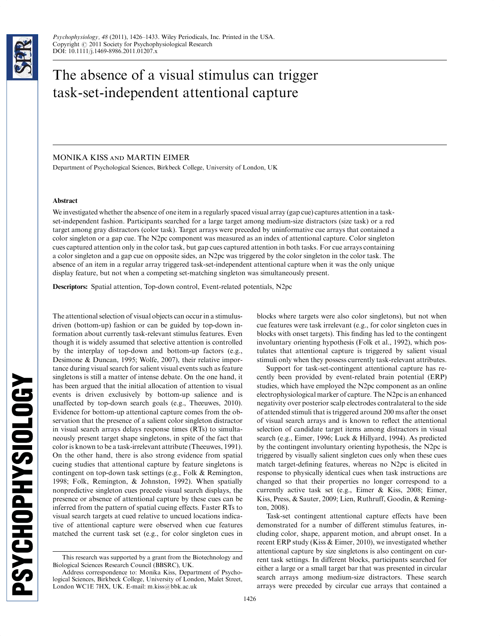# The absence of a visual stimulus can trigger task-set-independent attentional capture

# MONIKA KISS and MARTIN EIMER

Department of Psychological Sciences, Birkbeck College, University of London, UK

## Abstract

We investigated whether the absence of one item in a regularly spaced visual array (gap cue) captures attention in a taskset-independent fashion. Participants searched for a large target among medium-size distractors (size task) or a red target among gray distractors (color task). Target arrays were preceded by uninformative cue arrays that contained a color singleton or a gap cue. The N2pc component was measured as an index of attentional capture. Color singleton cues captured attention only in the color task, but gap cues captured attention in both tasks. For cue arrays containing a color singleton and a gap cue on opposite sides, an N2pc was triggered by the color singleton in the color task. The absence of an item in a regular array triggered task-set-independent attentional capture when it was the only unique display feature, but not when a competing set-matching singleton was simultaneously present.

Descriptors: Spatial attention, Top-down control, Event-related potentials, N2pc

The attentional selection of visual objects can occur in a stimulusdriven (bottom-up) fashion or can be guided by top-down information about currently task-relevant stimulus features. Even though it is widely assumed that selective attention is controlled by the interplay of top-down and bottom-up factors (e.g., Desimone & Duncan, 1995; Wolfe, 2007), their relative importance during visual search for salient visual events such as feature singletons is still a matter of intense debate. On the one hand, it has been argued that the initial allocation of attention to visual events is driven exclusively by bottom-up salience and is unaffected by top-down search goals (e.g., Theeuwes, 2010). Evidence for bottom-up attentional capture comes from the observation that the presence of a salient color singleton distractor in visual search arrays delays response times (RTs) to simultaneously present target shape singletons, in spite of the fact that color is known to be a task-irrelevant attribute (Theeuwes, 1991). On the other hand, there is also strong evidence from spatial cueing studies that attentional capture by feature singletons is contingent on top-down task settings (e.g., Folk & Remington, 1998; Folk, Remington, & Johnston, 1992). When spatially nonpredictive singleton cues precede visual search displays, the presence or absence of attentional capture by these cues can be inferred from the pattern of spatial cueing effects. Faster RTs to visual search targets at cued relative to uncued locations indicative of attentional capture were observed when cue features matched the current task set (e.g., for color singleton cues in blocks where targets were also color singletons), but not when cue features were task irrelevant (e.g., for color singleton cues in blocks with onset targets). This finding has led to the contingent involuntary orienting hypothesis (Folk et al., 1992), which postulates that attentional capture is triggered by salient visual stimuli only when they possess currently task-relevant attributes.

Support for task-set-contingent attentional capture has recently been provided by event-related brain potential (ERP) studies, which have employed the N2pc component as an online electrophysiological marker of capture. The N2pc is an enhanced negativity over posterior scalp electrodes contralateral to the side of attended stimuli that is triggered around 200 ms after the onset of visual search arrays and is known to reflect the attentional selection of candidate target items among distractors in visual search (e.g., Eimer, 1996; Luck & Hillyard, 1994). As predicted by the contingent involuntary orienting hypothesis, the N2pc is triggered by visually salient singleton cues only when these cues match target-defining features, whereas no N2pc is elicited in response to physically identical cues when task instructions are changed so that their properties no longer correspond to a currently active task set (e.g., Eimer & Kiss, 2008; Eimer, Kiss, Press, & Sauter, 2009; Lien, Ruthruff, Goodin, & Remington, 2008).

Task-set contingent attentional capture effects have been demonstrated for a number of different stimulus features, including color, shape, apparent motion, and abrupt onset. In a recent ERP study (Kiss & Eimer, 2010), we investigated whether attentional capture by size singletons is also contingent on current task settings. In different blocks, participants searched for either a large or a small target bar that was presented in circular search arrays among medium-size distractors. These search arrays were preceded by circular cue arrays that contained a

This research was supported by a grant from the Biotechnology and Biological Sciences Research Council (BBSRC), UK.

Address correspondence to: Monika Kiss, Department of Psychological Sciences, Birkbeck College, University of London, Malet Street, London WC1E 7HX, UK. E-mail: [m.kiss@bbk.ac.uk](mailto:m.kiss@bbk.ac.uk)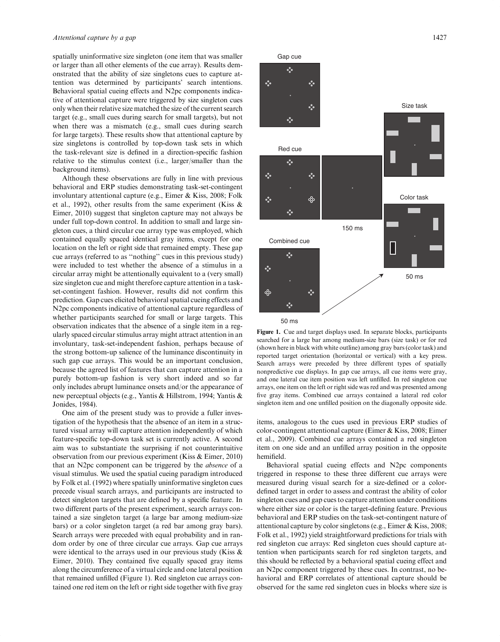spatially uninformative size singleton (one item that was smaller or larger than all other elements of the cue array). Results demonstrated that the ability of size singletons cues to capture attention was determined by participants' search intentions. Behavioral spatial cueing effects and N2pc components indicative of attentional capture were triggered by size singleton cues only when their relative size matched the size of the current search target (e.g., small cues during search for small targets), but not when there was a mismatch (e.g., small cues during search for large targets). These results show that attentional capture by size singletons is controlled by top-down task sets in which the task-relevant size is defined in a direction-specific fashion relative to the stimulus context (i.e., larger/smaller than the background items).

Although these observations are fully in line with previous behavioral and ERP studies demonstrating task-set-contingent involuntary attentional capture (e.g., Eimer & Kiss, 2008; Folk et al., 1992), other results from the same experiment (Kiss & Eimer, 2010) suggest that singleton capture may not always be under full top-down control. In addition to small and large singleton cues, a third circular cue array type was employed, which contained equally spaced identical gray items, except for one location on the left or right side that remained empty. These gap cue arrays (referred to as ''nothing'' cues in this previous study) were included to test whether the absence of a stimulus in a circular array might be attentionally equivalent to a (very small) size singleton cue and might therefore capture attention in a taskset-contingent fashion. However, results did not confirm this prediction. Gap cues elicited behavioral spatial cueing effects and N2pc components indicative of attentional capture regardless of whether participants searched for small or large targets. This observation indicates that the absence of a single item in a regularly spaced circular stimulus array might attract attention in an involuntary, task-set-independent fashion, perhaps because of the strong bottom-up salience of the luminance discontinuity in such gap cue arrays. This would be an important conclusion, because the agreed list of features that can capture attention in a purely bottom-up fashion is very short indeed and so far only includes abrupt luminance onsets and/or the appearance of new perceptual objects (e.g., Yantis & Hillstrom, 1994; Yantis & Jonides, 1984).

One aim of the present study was to provide a fuller investigation of the hypothesis that the absence of an item in a structured visual array will capture attention independently of which feature-specific top-down task set is currently active. A second aim was to substantiate the surprising if not counterintuitive observation from our previous experiment (Kiss & Eimer, 2010) that an N2pc component can be triggered by the absence of a visual stimulus. We used the spatial cueing paradigm introduced by Folk et al. (1992) where spatially uninformative singleton cues precede visual search arrays, and participants are instructed to detect singleton targets that are defined by a specific feature. In two different parts of the present experiment, search arrays contained a size singleton target (a large bar among medium-size bars) or a color singleton target (a red bar among gray bars). Search arrays were preceded with equal probability and in random order by one of three circular cue arrays. Gap cue arrays were identical to the arrays used in our previous study (Kiss & Eimer, 2010). They contained five equally spaced gray items along the circumference of a virtual circle and one lateral position that remained unfilled (Figure 1). Red singleton cue arrays contained one red item on the left or right side together with five gray



Figure 1. Cue and target displays used. In separate blocks, participants searched for a large bar among medium-size bars (size task) or for red (shown here in black with white outline) among gray bars (color task) and reported target orientation (horizontal or vertical) with a key press. Search arrays were preceded by three different types of spatially nonpredictive cue displays. In gap cue arrays, all cue items were gray, and one lateral cue item position was left unfilled. In red singleton cue arrays, one item on the left or right side was red and was presented among five gray items. Combined cue arrays contained a lateral red color singleton item and one unfilled position on the diagonally opposite side.

items, analogous to the cues used in previous ERP studies of color-contingent attentional capture (Eimer & Kiss, 2008; Eimer et al., 2009). Combined cue arrays contained a red singleton item on one side and an unfilled array position in the opposite hemifield.

Behavioral spatial cueing effects and N2pc components triggered in response to these three different cue arrays were measured during visual search for a size-defined or a colordefined target in order to assess and contrast the ability of color singleton cues and gap cues to capture attention under conditions where either size or color is the target-defining feature. Previous behavioral and ERP studies on the task-set-contingent nature of attentional capture by color singletons (e.g., Eimer & Kiss, 2008; Folk et al., 1992) yield straightforward predictions for trials with red singleton cue arrays: Red singleton cues should capture attention when participants search for red singleton targets, and this should be reflected by a behavioral spatial cueing effect and an N2pc component triggered by these cues. In contrast, no behavioral and ERP correlates of attentional capture should be observed for the same red singleton cues in blocks where size is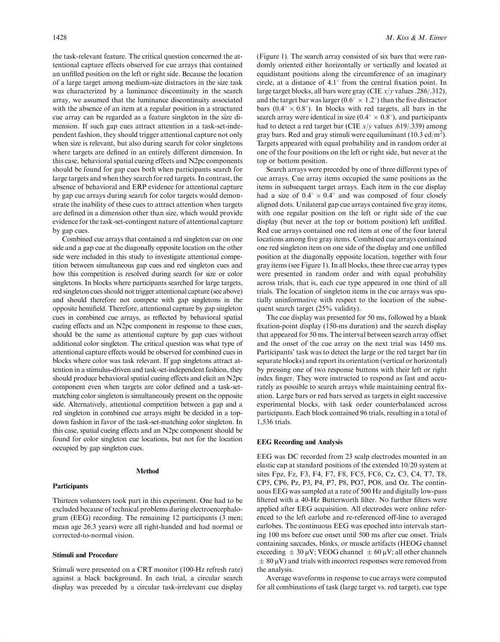the task-relevant feature. The critical question concerned the attentional capture effects observed for cue arrays that contained an unfilled position on the left or right side. Because the location of a large target among medium-size distractors in the size task was characterized by a luminance discontinuity in the search array, we assumed that the luminance discontinuity associated with the absence of an item at a regular position in a structured cue array can be regarded as a feature singleton in the size dimension. If such gap cues attract attention in a task-set-independent fashion, they should trigger attentional capture not only when size is relevant, but also during search for color singletons where targets are defined in an entirely different dimension. In this case, behavioral spatial cueing effects and N2pc components should be found for gap cues both when participants search for large targets and when they search for red targets. In contrast, the absence of behavioral and ERP evidence for attentional capture by gap cue arrays during search for color targets would demonstrate the inability of these cues to attract attention when targets are defined in a dimension other than size, which would provide evidence for the task-set-contingent nature of attentional capture by gap cues.

Combined cue arrays that contained a red singleton cue on one side and a gap cue at the diagonally opposite location on the other side were included in this study to investigate attentional competition between simultaneous gap cues and red singleton cues and how this competition is resolved during search for size or color singletons. In blocks where participants searched for large targets, red singleton cues should not trigger attentional capture (see above) and should therefore not compete with gap singletons in the opposite hemifield. Therefore, attentional capture by gap singleton cues in combined cue arrays, as reflected by behavioral spatial cueing effects and an N2pc component in response to these cues, should be the same as attentional capture by gap cues without additional color singleton. The critical question was what type of attentional capture effects would be observed for combined cues in blocks where color was task relevant. If gap singletons attract attention in a stimulus-driven and task-set-independent fashion, they should produce behavioral spatial cueing effects and elicit an N2pc component even when targets are color defined and a task-setmatching color singleton is simultaneously present on the opposite side. Alternatively, attentional competition between a gap and a red singleton in combined cue arrays might be decided in a topdown fashion in favor of the task-set-matching color singleton. In this case, spatial cueing effects and an N2pc component should be found for color singleton cue locations, but not for the location occupied by gap singleton cues.

# Method

# **Participants**

Thirteen volunteers took part in this experiment. One had to be excluded because of technical problems during electroencephalogram (EEG) recording. The remaining 12 participants (3 men; mean age 26.3 years) were all right-handed and had normal or corrected-to-normal vision.

# Stimuli and Procedure

Stimuli were presented on a CRT monitor (100-Hz refresh rate) against a black background. In each trial, a circular search display was preceded by a circular task-irrelevant cue display (Figure 1). The search array consisted of six bars that were randomly oriented either horizontally or vertically and located at equidistant positions along the circumference of an imaginary circle, at a distance of  $4.1^{\circ}$  from the central fixation point. In large target blocks, all bars were gray (CIE  $x/y$  values .286/.312), and the target bar was larger ( $0.6^{\circ} \times 1.2^{\circ}$ ) than the five distractor bars ( $0.4^{\circ} \times 0.8^{\circ}$ ). In blocks with red targets, all bars in the search array were identical in size ( $0.4^{\circ} \times 0.8^{\circ}$ ), and participants had to detect a red target bar (CIE  $x/v$  values .619/.339) among gray bars. Red and gray stimuli were equiluminant  $(10.3 \text{ cd/m}^2)$ . Targets appeared with equal probability and in random order at one of the four positions on the left or right side, but never at the top or bottom position.

Search arrays were preceded by one of three different types of cue arrays. Cue array items occupied the same positions as the items in subsequent target arrays. Each item in the cue display had a size of  $0.4^{\circ} \times 0.4^{\circ}$  and was composed of four closely aligned dots. Unilateral gap cue arrays contained five gray items, with one regular position on the left or right side of the cue display (but never at the top or bottom position) left unfilled. Red cue arrays contained one red item at one of the four lateral locations among five gray items. Combined cue arrays contained one red singleton item on one side of the display and one unfilled position at the diagonally opposite location, together with four gray items (see Figure 1). In all blocks, these three cue array types were presented in random order and with equal probability across trials, that is, each cue type appeared in one third of all trials. The location of singleton items in the cue arrays was spatially uninformative with respect to the location of the subsequent search target (25% validity).

The cue display was presented for 50 ms, followed by a blank fixation-point display (150-ms duration) and the search display that appeared for 50 ms. The interval between search array offset and the onset of the cue array on the next trial was 1450 ms. Participants' task was to detect the large or the red target bar (in separate blocks) and report its orientation (vertical or horizontal) by pressing one of two response buttons with their left or right index finger. They were instructed to respond as fast and accurately as possible to search arrays while maintaining central fixation. Large bars or red bars served as targets in eight successive experimental blocks, with task order counterbalanced across participants. Each block contained 96 trials, resulting in a total of 1,536 trials.

#### EEG Recording and Analysis

EEG was DC recorded from 23 scalp electrodes mounted in an elastic cap at standard positions of the extended 10/20 system at sites Fpz, Fz, F3, F4, F7, F8, FC5, FC6, Cz, C3, C4, T7, T8, CP5, CP6, Pz, P3, P4, P7, P8, PO7, PO8, and Oz. The continuous EEG was sampled at a rate of 500 Hz and digitally low-pass filtered with a 40-Hz Butterworth filter. No further filters were applied after EEG acquisition. All electrodes were online referenced to the left earlobe and re-referenced off-line to averaged earlobes. The continuous EEG was epoched into intervals starting 100 ms before cue onset until 500 ms after cue onset. Trials containing saccades, blinks, or muscle artifacts (HEOG channel exceeding  $\pm 30 \mu V$ ; VEOG channel  $\pm 60 \mu V$ ; all other channels  $\pm 80 \,\mu$ V) and trials with incorrect responses were removed from the analysis.

Average waveforms in response to cue arrays were computed for all combinations of task (large target vs. red target), cue type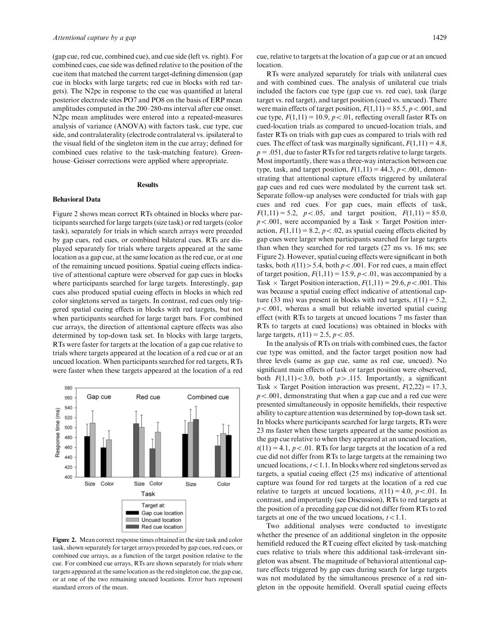(gap cue, red cue, combined cue), and cue side (left vs. right). For combined cues, cue side was defined relative to the position of the cue item that matched the current target-defining dimension (gap cue in blocks with large targets; red cue in blocks with red targets). The N2pc in response to the cue was quantified at lateral posterior electrode sites PO7 and PO8 on the basis of ERP mean amplitudes computed in the 200–280-ms interval after cue onset. N2pc mean amplitudes were entered into a repeated-measures analysis of variance (ANOVA) with factors task, cue type, cue side, and contralaterality (electrode contralateral vs. ipsilateral to the visual field of the singleton item in the cue array; defined for combined cues relative to the task-matching feature). Greenhouse–Geisser corrections were applied where appropriate.

# **Results**

## Behavioral Data

Figure 2 shows mean correct RTs obtained in blocks where participants searched for large targets (size task) or red targets (color task), separately for trials in which search arrays were preceded by gap cues, red cues, or combined bilateral cues. RTs are displayed separately for trials where targets appeared at the same location as a gap cue, at the same location as the red cue, or at one of the remaining uncued positions. Spatial cueing effects indicative of attentional capture were observed for gap cues in blocks where participants searched for large targets. Interestingly, gap cues also produced spatial cueing effects in blocks in which red color singletons served as targets. In contrast, red cues only triggered spatial cueing effects in blocks with red targets, but not when participants searched for large target bars. For combined cue arrays, the direction of attentional capture effects was also determined by top-down task set. In blocks with large targets, RTs were faster for targets at the location of a gap cue relative to trials where targets appeared at the location of a red cue or at an uncued location. When participants searched for red targets, RTs were faster when these targets appeared at the location of a red



Figure 2. Mean correct response times obtained in the size task and color task, shown separately for target arrays preceded by gap cues, red cues, or combined cue arrays, as a function of the target position relative to the cue. For combined cue arrays, RTs are shown separately for trials where targets appeared at the same location as the red singleton cue, the gap cue, or at one of the two remaining uncued locations. Error bars represent standard errors of the mean.

cue, relative to targets at the location of a gap cue or at an uncued location.

RTs were analyzed separately for trials with unilateral cues and with combined cues. The analysis of unilateral cue trials included the factors cue type (gap cue vs. red cue), task (large target vs. red target), and target position (cued vs. uncued). There were main effects of target position,  $F(1,11) = 85.5, p < .001$ , and cue type,  $F(1,11) = 10.9$ ,  $p < .01$ , reflecting overall faster RTs on cued-location trials as compared to uncued-location trials, and faster RTs on trials with gap cues as compared to trials with red cues. The effect of task was marginally significant,  $F(1,11) = 4.8$ ,  $p = .051$ , due to faster RTs for red targets relative to large targets. Most importantly, there was a three-way interaction between cue type, task, and target position,  $F(1,11) = 44.3$ ,  $p < .001$ , demonstrating that attentional capture effects triggered by unilateral gap cues and red cues were modulated by the current task set. Separate follow-up analyses were conducted for trials with gap cues and red cues. For gap cues, main effects of task,  $F(1,11) = 5.2$ ,  $p < .05$ , and target position,  $F(1,11) = 85.0$ ,  $p<.001$ , were accompanied by a Task  $\times$  Target Position interaction,  $F(1,11) = 8.2$ ,  $p < .02$ , as spatial cueing effects elicited by gap cues were larger when participants searched for large targets than when they searched for red targets (27 ms vs. 16 ms; see Figure 2). However, spatial cueing effects were significant in both tasks, both  $t(11)$  > 5.4, both  $p < .001$ . For red cues, a main effect of target position,  $F(1,11) = 15.9$ ,  $p < .01$ , was accompanied by a Task  $\times$  Target Position interaction,  $F(1,11) = 29.6, p < .001$ . This was because a spatial cueing effect indicative of attentional capture (33 ms) was present in blocks with red targets,  $t(11) = 5.2$ ,  $p < .001$ , whereas a small but reliable inverted spatial cueing effect (with RTs to targets at uncued locations 7 ms faster than RTs to targets at cued locations) was obtained in blocks with large targets,  $t(11) = 2.5, p < .05$ .

In the analysis of RTs on trials with combined cues, the factor cue type was omitted, and the factor target position now had three levels (same as gap cue, same as red cue, uncued). No significant main effects of task or target position were observed, both  $F(1,11) < 3.0$ , both  $p > .115$ . Importantly, a significant Task  $\times$  Target Position interaction was present,  $F(2,22) = 17.3$ ,  $p < .001$ , demonstrating that when a gap cue and a red cue were presented simultaneously in opposite hemifields, their respective ability to capture attention was determined by top-down task set. In blocks where participants searched for large targets, RTs were 23 ms faster when these targets appeared at the same position as the gap cue relative to when they appeared at an uncued location,  $t(11) = 4.1, p < 0.01$ . RTs for large targets at the location of a red cue did not differ from RTs to large targets at the remaining two uncued locations,  $t < 1.1$ . In blocks where red singletons served as targets, a spatial cueing effect (25 ms) indicative of attentional capture was found for red targets at the location of a red cue relative to targets at uncued locations,  $t(11) = 4.0$ ,  $p < .01$ . In contrast, and importantly (see Discussion), RTs to red targets at the position of a preceding gap cue did not differ from RTs to red targets at one of the two uncued locations,  $t < 1.1$ .

Two additional analyses were conducted to investigate whether the presence of an additional singleton in the opposite hemifield reduced the RT cueing effect elicited by task-matching cues relative to trials where this additional task-irrelevant singleton was absent. The magnitude of behavioral attentional capture effects triggered by gap cues during search for large targets was not modulated by the simultaneous presence of a red singleton in the opposite hemifield. Overall spatial cueing effects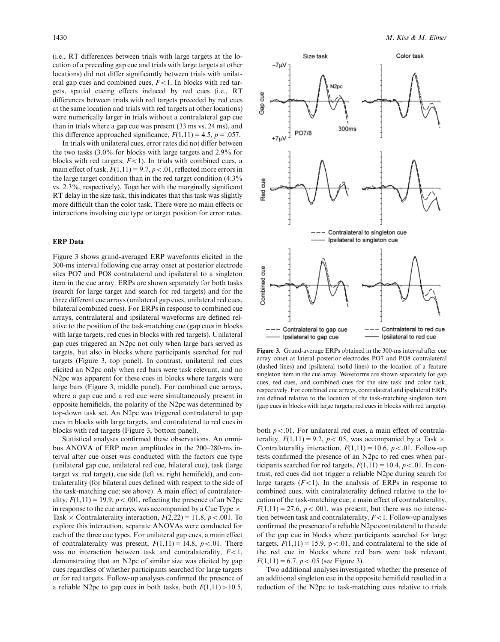(i.e., RT differences between trials with large targets at the location of a preceding gap cue and trials with large targets at other locations) did not differ significantly between trials with unilateral gap cues and combined cues,  $F<1$ . In blocks with red targets, spatial cueing effects induced by red cues (i.e., RT differences between trials with red targets preceded by red cues at the same location and trials with red targets at other locations) were numerically larger in trials without a contralateral gap cue than in trials where a gap cue was present (33 ms vs. 24 ms), and this difference approached significance,  $F(1,11) = 4.5$ ,  $p = .057$ .

In trials with unilateral cues, error rates did not differ between the two tasks (3.0% for blocks with large targets and 2.9% for blocks with red targets;  $F<1$ ). In trials with combined cues, a main effect of task,  $F(1,11) = 9.7, p < .01$ , reflected more errors in the large target condition than in the red target condition (4.3% vs. 2.3%, respectively). Together with the marginally significant RT delay in the size task, this indicates that this task was slightly more difficult than the color task. There were no main effects or interactions involving cue type or target position for error rates.

### ERP Data

Figure 3 shows grand-averaged ERP waveforms elicited in the 300-ms interval following cue array onset at posterior electrode sites PO7 and PO8 contralateral and ipsilateral to a singleton item in the cue array. ERPs are shown separately for both tasks (search for large target and search for red targets) and for the three different cue arrays (unilateral gap cues, unilateral red cues, bilateral combined cues). For ERPs in response to combined cue arrays, contralateral and ipsilateral waveforms are defined relative to the position of the task-matching cue (gap cues in blocks with large targets, red cues in blocks with red targets). Unilateral gap cues triggered an N2pc not only when large bars served as targets, but also in blocks where participants searched for red targets (Figure 3, top panel). In contrast, unilateral red cues elicited an N2pc only when red bars were task relevant, and no N2pc was apparent for these cues in blocks where targets were large bars (Figure 3, middle panel). For combined cue arrays, where a gap cue and a red cue were simultaneously present in opposite hemifields, the polarity of the N2pc was determined by top-down task set. An N2pc was triggered contralateral to gap cues in blocks with large targets, and contralateral to red cues in blocks with red targets (Figure 3, bottom panel).

Statistical analyses confirmed these observations. An omnibus ANOVA of ERP mean amplitudes in the 200–280-ms interval after cue onset was conducted with the factors cue type (unilateral gap cue, unilateral red cue, bilateral cue), task (large target vs. red target), cue side (left vs. right hemifield), and contralaterality (for bilateral cues defined with respect to the side of the task-matching cue; see above). A main effect of contralaterality,  $F(1,11) = 19.9$ ,  $p < .001$ , reflecting the presence of an N2pc in response to the cue arrays, was accompanied by a Cue Type  $\times$ Task  $\times$  Contralaterality interaction,  $F(2,22) = 11.8, p < .001$ . To explore this interaction, separate ANOVAs were conducted for each of the three cue types. For unilateral gap cues, a main effect of contralaterality was present,  $F(1,11) = 14.8$ ,  $p < .01$ . There was no interaction between task and contralaterality,  $F<1$ , demonstrating that an N2pc of similar size was elicited by gap cues regardless of whether participants searched for large targets or for red targets. Follow-up analyses confirmed the presence of a reliable N2pc to gap cues in both tasks, both  $F(1,11) > 10.5$ ,



Figure 3. Grand-average ERPs obtained in the 300-ms interval after cue array onset at lateral posterior electrodes PO7 and PO8 contralateral (dashed lines) and ipsilateral (solid lines) to the location of a feature singleton item in the cue array. Waveforms are shown separately for gap cues, red cues, and combined cues for the size task and color task, respectively. For combined cue arrays, contralateral and ipsilateral ERPs are defined relative to the location of the task-matching singleton item (gap cues in blocks with large targets; red cues in blocks with red targets).

both  $p < 0.01$ . For unilateral red cues, a main effect of contralaterality,  $F(1,11) = 9.2$ ,  $p < .05$ , was accompanied by a Task  $\times$ Contralaterality interaction,  $F(1,11) = 10.6$ ,  $p < 0.01$ . Follow-up tests confirmed the presence of an N2pc to red cues when participants searched for red targets,  $F(1,11) = 10.4$ ,  $p < .01$ . In contrast, red cues did not trigger a reliable N2pc during search for large targets  $(F<1)$ . In the analysis of ERPs in response to combined cues, with contralaterality defined relative to the location of the task-matching cue, a main effect of contralaterality,  $F(1,11) = 27.6, p < .001$ , was present, but there was no interaction between task and contralaterality,  $F<1$ . Follow-up analyses confirmed the presence of a reliable N2pc contralateral to the side of the gap cue in blocks where participants searched for large targets,  $F(1,11) = 15.9$ ,  $p < .01$ , and contralateral to the side of the red cue in blocks where red bars were task relevant,  $F(1,11) = 6.7, p < .05$  (see Figure 3).

Two additional analyses investigated whether the presence of an additional singleton cue in the opposite hemifield resulted in a reduction of the N2pc to task-matching cues relative to trials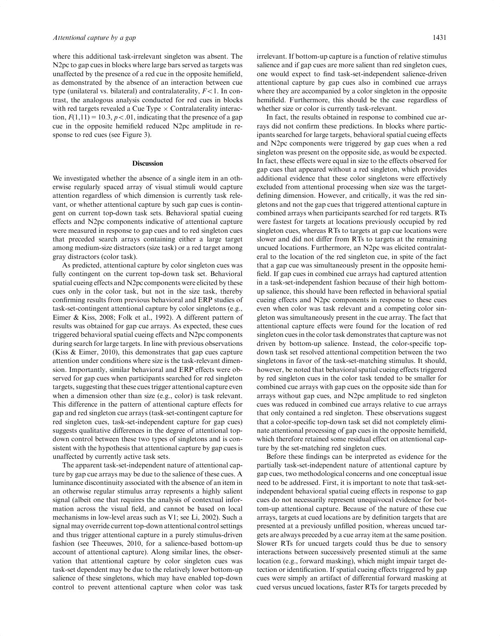where this additional task-irrelevant singleton was absent. The N2pc to gap cues in blocks where large bars served as targets was unaffected by the presence of a red cue in the opposite hemifield, as demonstrated by the absence of an interaction between cue type (unilateral vs. bilateral) and contralaterality,  $F<1$ . In contrast, the analogous analysis conducted for red cues in blocks with red targets revealed a Cue Type  $\times$  Contralaterality interaction,  $F(1,11) = 10.3$ ,  $p < 0.01$ , indicating that the presence of a gap cue in the opposite hemifield reduced N2pc amplitude in response to red cues (see Figure 3).

## Discussion

We investigated whether the absence of a single item in an otherwise regularly spaced array of visual stimuli would capture attention regardless of which dimension is currently task relevant, or whether attentional capture by such gap cues is contingent on current top-down task sets. Behavioral spatial cueing effects and N2pc components indicative of attentional capture were measured in response to gap cues and to red singleton cues that preceded search arrays containing either a large target among medium-size distractors (size task) or a red target among gray distractors (color task).

As predicted, attentional capture by color singleton cues was fully contingent on the current top-down task set. Behavioral spatial cueing effects and N2pc components were elicited by these cues only in the color task, but not in the size task, thereby confirming results from previous behavioral and ERP studies of task-set-contingent attentional capture by color singletons (e.g., Eimer & Kiss, 2008; Folk et al., 1992). A different pattern of results was obtained for gap cue arrays. As expected, these cues triggered behavioral spatial cueing effects and N2pc components during search for large targets. In line with previous observations (Kiss & Eimer, 2010), this demonstrates that gap cues capture attention under conditions where size is the task-relevant dimension. Importantly, similar behavioral and ERP effects were observed for gap cues when participants searched for red singleton targets, suggesting that these cues trigger attentional capture even when a dimension other than size (e.g., color) is task relevant. This difference in the pattern of attentional capture effects for gap and red singleton cue arrays (task-set-contingent capture for red singleton cues, task-set-independent capture for gap cues) suggests qualitative differences in the degree of attentional topdown control between these two types of singletons and is consistent with the hypothesis that attentional capture by gap cues is unaffected by currently active task sets.

The apparent task-set-independent nature of attentional capture by gap cue arrays may be due to the salience of these cues. A luminance discontinuity associated with the absence of an item in an otherwise regular stimulus array represents a highly salient signal (albeit one that requires the analysis of contextual information across the visual field, and cannot be based on local mechanisms in low-level areas such as V1; see Li, 2002). Such a signal may override current top-down attentional control settings and thus trigger attentional capture in a purely stimulus-driven fashion (see Theeuwes, 2010, for a salience-based bottom-up account of attentional capture). Along similar lines, the observation that attentional capture by color singleton cues was task-set dependent may be due to the relatively lower bottom-up salience of these singletons, which may have enabled top-down control to prevent attentional capture when color was task

irrelevant. If bottom-up capture is a function of relative stimulus salience and if gap cues are more salient than red singleton cues, one would expect to find task-set-independent salience-driven attentional capture by gap cues also in combined cue arrays where they are accompanied by a color singleton in the opposite hemifield. Furthermore, this should be the case regardless of whether size or color is currently task-relevant.

In fact, the results obtained in response to combined cue arrays did not confirm these predictions. In blocks where participants searched for large targets, behavioral spatial cueing effects and N2pc components were triggered by gap cues when a red singleton was present on the opposite side, as would be expected. In fact, these effects were equal in size to the effects observed for gap cues that appeared without a red singleton, which provides additional evidence that these color singletons were effectively excluded from attentional processing when size was the targetdefining dimension. However, and critically, it was the red singletons and not the gap cues that triggered attentional capture in combined arrays when participants searched for red targets. RTs were fastest for targets at locations previously occupied by red singleton cues, whereas RTs to targets at gap cue locations were slower and did not differ from RTs to targets at the remaining uncued locations. Furthermore, an N2pc was elicited contralateral to the location of the red singleton cue, in spite of the fact that a gap cue was simultaneously present in the opposite hemifield. If gap cues in combined cue arrays had captured attention in a task-set-independent fashion because of their high bottomup salience, this should have been reflected in behavioral spatial cueing effects and N2pc components in response to these cues even when color was task relevant and a competing color singleton was simultaneously present in the cue array. The fact that attentional capture effects were found for the location of red singleton cues in the color task demonstrates that capture was not driven by bottom-up salience. Instead, the color-specific topdown task set resolved attentional competition between the two singletons in favor of the task-set-matching stimulus. It should, however, be noted that behavioral spatial cueing effects triggered by red singleton cues in the color task tended to be smaller for combined cue arrays with gap cues on the opposite side than for arrays without gap cues, and N2pc amplitude to red singleton cues was reduced in combined cue arrays relative to cue arrays that only contained a red singleton. These observations suggest that a color-specific top-down task set did not completely eliminate attentional processing of gap cues in the opposite hemifield, which therefore retained some residual effect on attentional capture by the set-matching red singleton cues.

Before these findings can be interpreted as evidence for the partially task-set-independent nature of attentional capture by gap cues, two methodological concerns and one conceptual issue need to be addressed. First, it is important to note that task-setindependent behavioral spatial cueing effects in response to gap cues do not necessarily represent unequivocal evidence for bottom-up attentional capture. Because of the nature of these cue arrays, targets at cued locations are by definition targets that are presented at a previously unfilled position, whereas uncued targets are always preceded by a cue array item at the same position. Slower RTs for uncued targets could thus be due to sensory interactions between successively presented stimuli at the same location (e.g., forward masking), which might impair target detection or identification. If spatial cueing effects triggered by gap cues were simply an artifact of differential forward masking at cued versus uncued locations, faster RTs for targets preceded by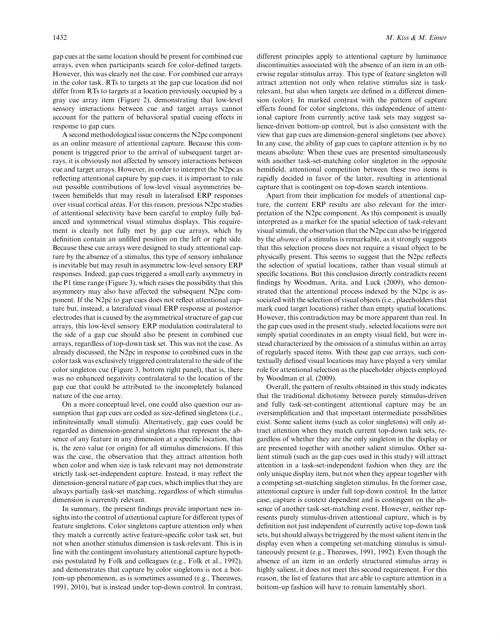gap cues at the same location should be present for combined cue arrays, even when participants search for color-defined targets. However, this was clearly not the case. For combined cue arrays in the color task, RTs to targets at the gap cue location did not differ from RTs to targets at a location previously occupied by a gray cue array item (Figure 2), demonstrating that low-level sensory interactions between cue and target arrays cannot account for the pattern of behavioral spatial cueing effects in response to gap cues.

A second methodological issue concerns the N2pc component as an online measure of attentional capture. Because this component is triggered prior to the arrival of subsequent target arrays, it is obviously not affected by sensory interactions between cue and target arrays. However, in order to interpret the N2pc as reflecting attentional capture by gap cues, it is important to rule out possible contributions of low-level visual asymmetries between hemifields that may result in lateralised ERP responses over visual cortical areas. For this reason, previous N2pc studies of attentional selectivity have been careful to employ fully balanced and symmetrical visual stimulus displays. This requirement is clearly not fully met by gap cue arrays, which by definition contain an unfilled position on the left or right side. Because these cue arrays were designed to study attentional capture by the absence of a stimulus, this type of sensory imbalance is inevitable but may result in asymmetric low-level sensory ERP responses. Indeed, gap cues triggered a small early asymmetry in the P1 time range (Figure 3), which raises the possibility that this asymmetry may also have affected the subsequent N2pc component. If the N2pc to gap cues does not reflect attentional capture but, instead, a lateralized visual ERP response at posterior electrodes that is caused by the asymmetrical structure of gap cue arrays, this low-level sensory ERP modulation contralateral to the side of a gap cue should also be present in combined cue arrays, regardless of top-down task set. This was not the case. As already discussed, the N2pc in response to combined cues in the color task was exclusively triggered contralateral to the side of the color singleton cue (Figure 3, bottom right panel), that is, there was no enhanced negativity contralateral to the location of the gap cue that could be attributed to the incompletely balanced nature of the cue array.

On a more conceptual level, one could also question our assumption that gap cues are coded as size-defined singletons (i.e., infinitesimally small stimuli). Alternatively, gap cues could be regarded as dimension-general singletons that represent the absence of any feature in any dimension at a specific location, that is, the zero value (or origin) for all stimulus dimensions. If this was the case, the observation that they attract attention both when color and when size is task relevant may not demonstrate strictly task-set-independent capture. Instead, it may reflect the dimension-general nature of gap cues, which implies that they are always partially task-set matching, regardless of which stimulus dimension is currently relevant.

In summary, the present findings provide important new insights into the control of attentional capture for different types of feature singletons. Color singletons capture attention only when they match a currently active feature-specific color task set, but not when another stimulus dimension is task-relevant. This is in line with the contingent involuntary attentional capture hypothesis postulated by Folk and colleagues (e.g., Folk et al., 1992), and demonstrates that capture by color singletons is not a bottom-up phenomenon, as is sometimes assumed (e.g., Theeuwes, 1991, 2010), but is instead under top-down control. In contrast,

different principles apply to attentional capture by luminance discontinuities associated with the absence of an item in an otherwise regular stimulus array. This type of feature singleton will attract attention not only when relative stimulus size is taskrelevant, but also when targets are defined in a different dimension (color). In marked contrast with the pattern of capture effects found for color singletons, this independence of attentional capture from currently active task sets may suggest salience-driven bottom-up control, but is also consistent with the view that gap cues are dimension-general singletons (see above). In any case, the ability of gap cues to capture attention is by no means absolute: When these cues are presented simultaneously with another task-set-matching color singleton in the opposite hemifield, attentional competition between these two items is rapidly decided in favor of the latter, resulting in attentional capture that is contingent on top-down search intentions.

Apart from their implication for models of attentional capture, the current ERP results are also relevant for the interpretation of the N2pc component. As this component is usually interpreted as a marker for the spatial selection of task-relevant visual stimuli, the observation that the N2pc can also be triggered by the absence of a stimulus is remarkable, as it strongly suggests that this selection process does not require a visual object to be physically present. This seems to suggest that the N2pc reflects the selection of spatial locations, rather than visual stimuli at specific locations. But this conclusion directly contradicts recent findings by Woodman, Arita, and Luck (2009), who demonstrated that the attentional process indexed by the N2pc is associated with the selection of visual objects (i.e., placeholders that mark cued target locations) rather than empty spatial locations. However, this contradiction may be more apparent than real. In the gap cues used in the present study, selected locations were not simply spatial coordinates in an empty visual field, but were instead characterized by the omission of a stimulus within an array of regularly spaced items. With these gap cue arrays, such contextually defined visual locations may have played a very similar role for attentional selection as the placeholder objects employed by Woodman et al. (2009).

Overall, the pattern of results obtained in this study indicates that the traditional dichotomy between purely stimulus-driven and fully task-set-contingent attentional capture may be an oversimplification and that important intermediate possibilities exist. Some salient items (such as color singletons) will only attract attention when they match current top-down task sets, regardless of whether they are the only singleton in the display or are presented together with another salient stimulus. Other salient stimuli (such as the gap cues used in this study) will attract attention in a task-set-independent fashion when they are the only unique display item, but not when they appear together with a competing set-matching singleton stimulus. In the former case, attentional capture is under full top-down control. In the latter case, capture is context dependent and is contingent on the absence of another task-set-matching event. However, neither represents purely stimulus-driven attentional capture, which is by definition not just independent of currently active top-down task sets, but should always be triggered by the most salient item in the display even when a competing set-matching stimulus is simultaneously present (e.g., Theeuwes, 1991, 1992). Even though the absence of an item in an orderly structured stimulus array is highly salient, it does not meet this second requirement. For this reason, the list of features that are able to capture attention in a bottom-up fashion will have to remain lamentably short.